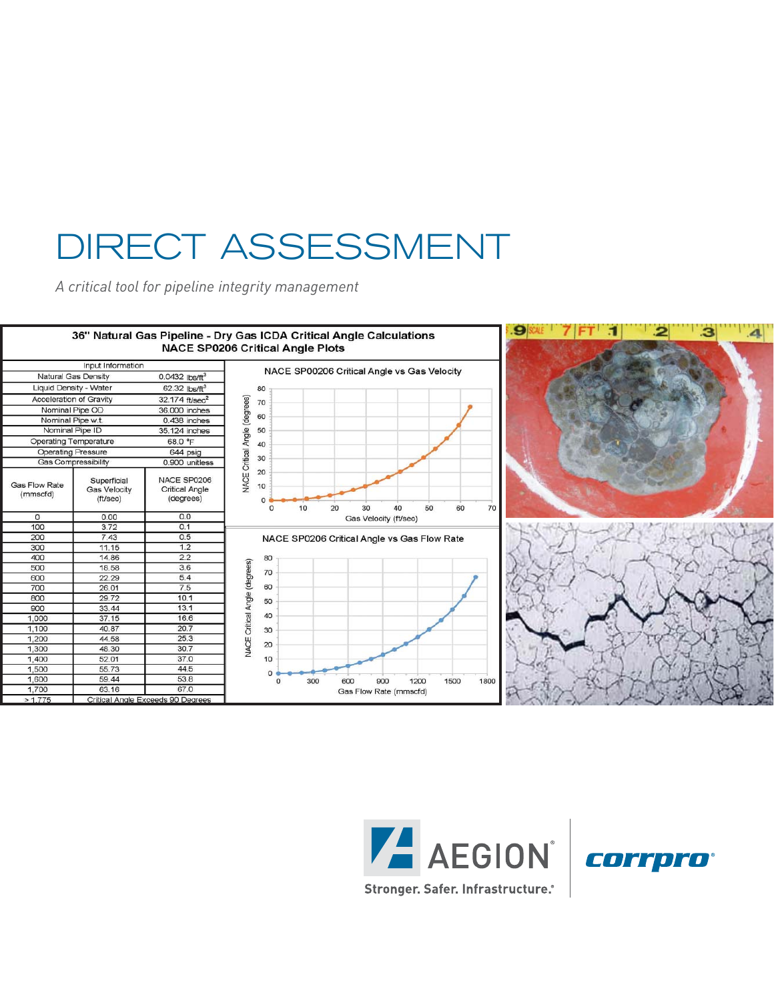# DIRECT ASSESSMENT

*A critical tool for pipeline integrity management*





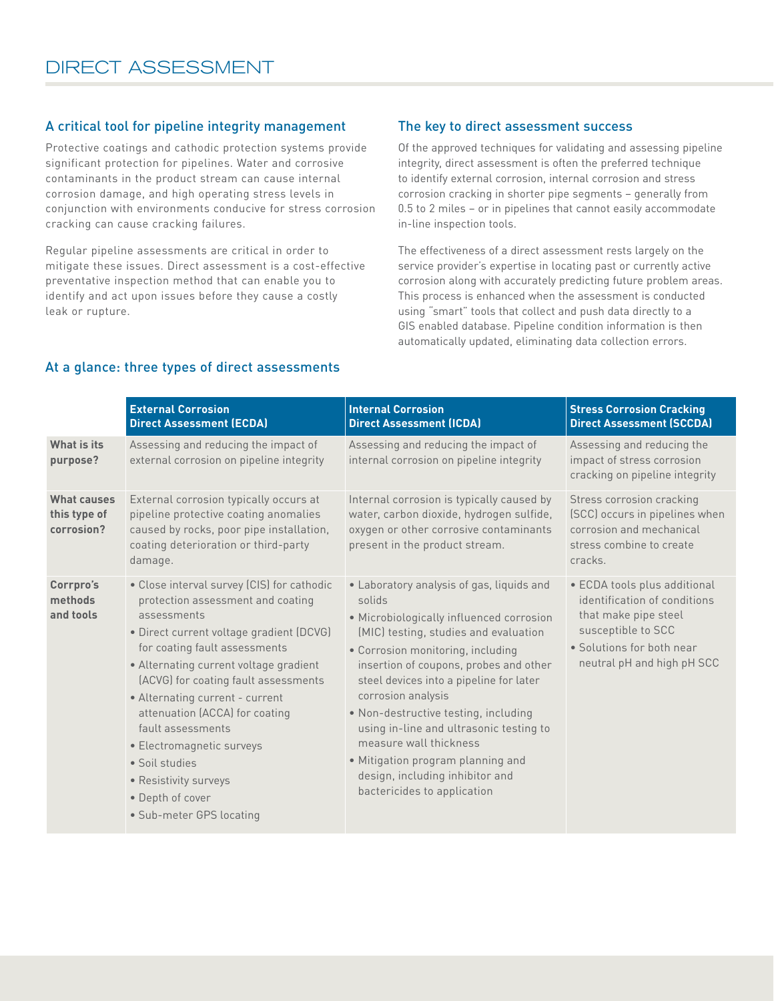# A critical tool for pipeline integrity management

Protective coatings and cathodic protection systems provide significant protection for pipelines. Water and corrosive contaminants in the product stream can cause internal corrosion damage, and high operating stress levels in conjunction with environments conducive for stress corrosion cracking can cause cracking failures.

Regular pipeline assessments are critical in order to mitigate these issues. Direct assessment is a cost-effective preventative inspection method that can enable you to identify and act upon issues before they cause a costly leak or rupture.

## The key to direct assessment success

Of the approved techniques for validating and assessing pipeline integrity, direct assessment is often the preferred technique to identify external corrosion, internal corrosion and stress corrosion cracking in shorter pipe segments – generally from 0.5 to 2 miles – or in pipelines that cannot easily accommodate in-line inspection tools.

The effectiveness of a direct assessment rests largely on the service provider's expertise in locating past or currently active corrosion along with accurately predicting future problem areas. This process is enhanced when the assessment is conducted using "smart" tools that collect and push data directly to a GIS enabled database. Pipeline condition information is then automatically updated, eliminating data collection errors.

#### **External Corrosion Direct Assessment (ECDA) Internal Corrosion Direct Assessment (ICDA) Stress Corrosion Cracking Direct Assessment (SCCDA) What is its purpose?** Assessing and reducing the impact of external corrosion on pipeline integrity Assessing and reducing the impact of internal corrosion on pipeline integrity Assessing and reducing the impact of stress corrosion cracking on pipeline integrity **What causes this type of corrosion?** External corrosion typically occurs at pipeline protective coating anomalies caused by rocks, poor pipe installation, coating deterioration or third-party damage. Internal corrosion is typically caused by water, carbon dioxide, hydrogen sulfide, oxygen or other corrosive contaminants present in the product stream. Stress corrosion cracking (SCC) occurs in pipelines when corrosion and mechanical stress combine to create cracks. **Corrpro's methods and tools** • Close interval survey (CIS) for cathodic protection assessment and coating assessments • Direct current voltage gradient (DCVG) for coating fault assessments • Alternating current voltage gradient (ACVG) for coating fault assessments • Laboratory analysis of gas, liquids and solids • Microbiologically influenced corrosion (MIC) testing, studies and evaluation • Corrosion monitoring, including insertion of coupons, probes and other steel devices into a pipeline for later • ECDA tools plus additional identification of conditions that make pipe steel susceptible to SCC • Solutions for both near neutral pH and high pH SCC

corrosion analysis

measure wall thickness

• Non-destructive testing, including using in-line and ultrasonic testing to

• Mitigation program planning and design, including inhibitor and bactericides to application

# At a glance: three types of direct assessments

• Alternating current - current attenuation (ACCA) for coating

fault assessments • Electromagnetic surveys

• Sub-meter GPS locating

• Soil studies • Resistivity surveys • Depth of cover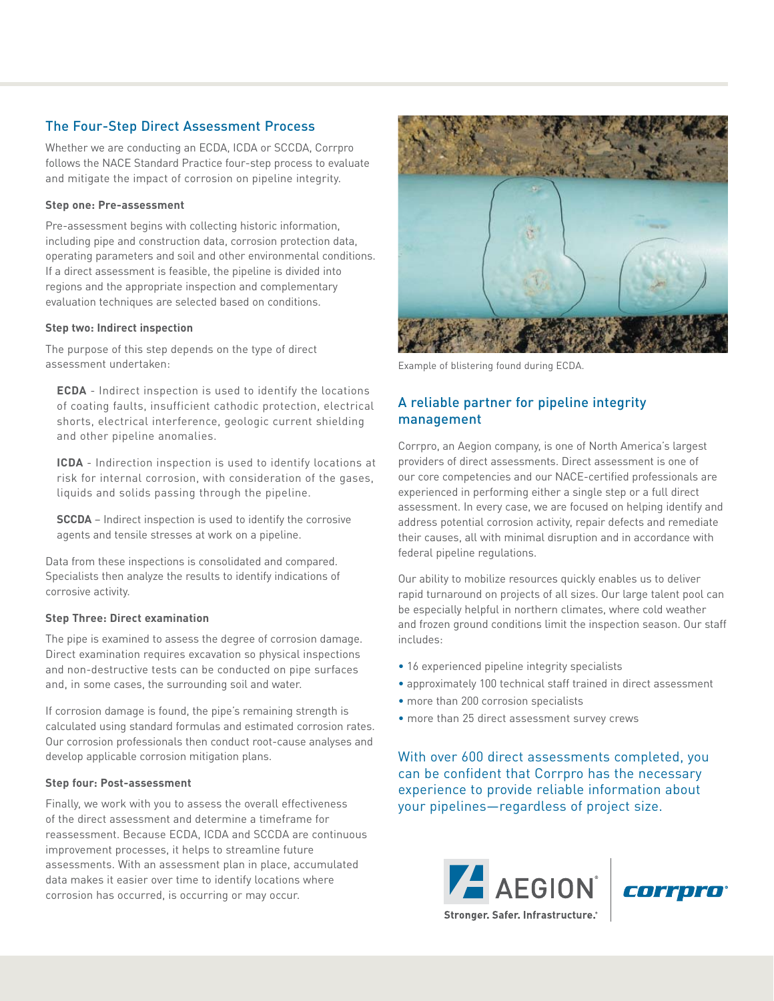# The Four-Step Direct Assessment Process

Whether we are conducting an ECDA, ICDA or SCCDA, Corrpro follows the NACE Standard Practice four-step process to evaluate and mitigate the impact of corrosion on pipeline integrity.

### **Step one: Pre-assessment**

Pre-assessment begins with collecting historic information, including pipe and construction data, corrosion protection data, operating parameters and soil and other environmental conditions. If a direct assessment is feasible, the pipeline is divided into regions and the appropriate inspection and complementary evaluation techniques are selected based on conditions.

#### **Step two: Indirect inspection**

The purpose of this step depends on the type of direct assessment undertaken:

**ECDA** - Indirect inspection is used to identify the locations of coating faults, insufficient cathodic protection, electrical shorts, electrical interference, geologic current shielding and other pipeline anomalies.

**ICDA** - Indirection inspection is used to identify locations at risk for internal corrosion, with consideration of the gases, liquids and solids passing through the pipeline.

**SCCDA** – Indirect inspection is used to identify the corrosive agents and tensile stresses at work on a pipeline.

Data from these inspections is consolidated and compared. Specialists then analyze the results to identify indications of corrosive activity.

### **Step Three: Direct examination**

The pipe is examined to assess the degree of corrosion damage. Direct examination requires excavation so physical inspections and non-destructive tests can be conducted on pipe surfaces and, in some cases, the surrounding soil and water.

If corrosion damage is found, the pipe's remaining strength is calculated using standard formulas and estimated corrosion rates. Our corrosion professionals then conduct root-cause analyses and develop applicable corrosion mitigation plans.

### **Step four: Post-assessment**

Finally, we work with you to assess the overall effectiveness of the direct assessment and determine a timeframe for reassessment. Because ECDA, ICDA and SCCDA are continuous improvement processes, it helps to streamline future assessments. With an assessment plan in place, accumulated data makes it easier over time to identify locations where corrosion has occurred, is occurring or may occur.



Example of blistering found during ECDA.

# A reliable partner for pipeline integrity management

Corrpro, an Aegion company, is one of North America's largest providers of direct assessments. Direct assessment is one of our core competencies and our NACE-certified professionals are experienced in performing either a single step or a full direct assessment. In every case, we are focused on helping identify and address potential corrosion activity, repair defects and remediate their causes, all with minimal disruption and in accordance with federal pipeline regulations.

Our ability to mobilize resources quickly enables us to deliver rapid turnaround on projects of all sizes. Our large talent pool can be especially helpful in northern climates, where cold weather and frozen ground conditions limit the inspection season. Our staff includes:

- 16 experienced pipeline integrity specialists
- approximately 100 technical staff trained in direct assessment
- more than 200 corrosion specialists
- more than 25 direct assessment survey crews

With over 600 direct assessments completed, you can be confident that Corrpro has the necessary experience to provide reliable information about your pipelines—regardless of project size.